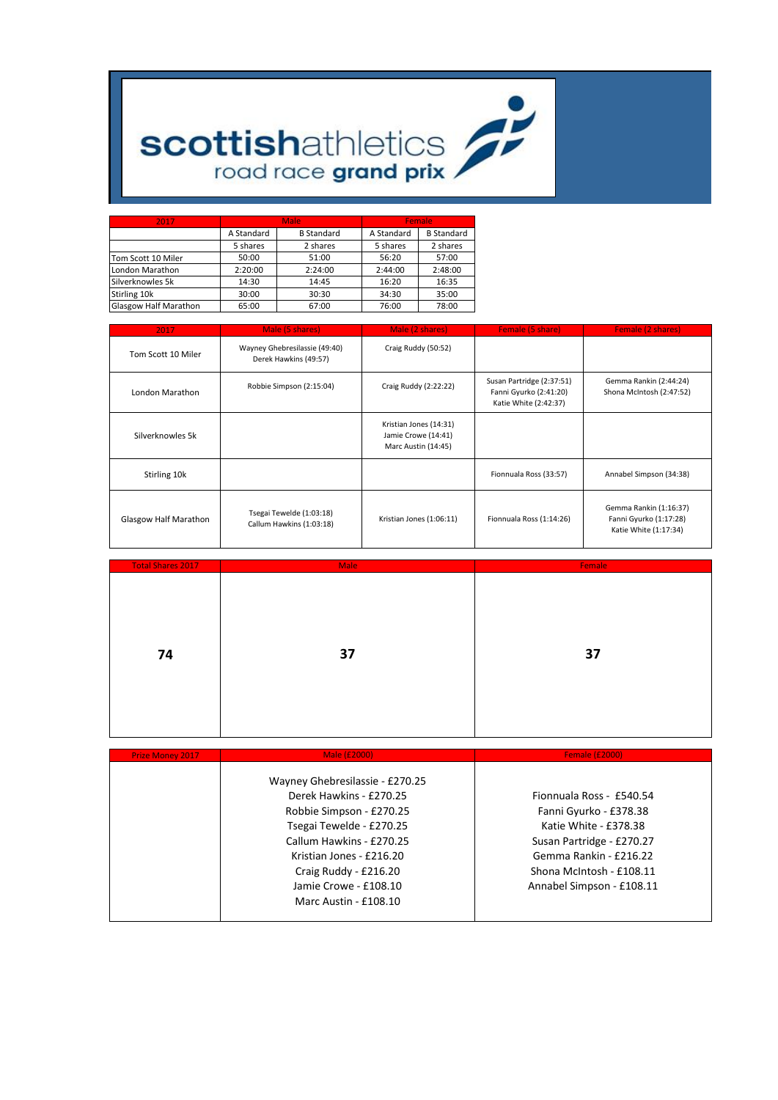

| 2017                         |            | <b>Male</b>       |            | Female            |  |  |
|------------------------------|------------|-------------------|------------|-------------------|--|--|
|                              | A Standard | <b>B</b> Standard | A Standard | <b>B</b> Standard |  |  |
|                              | 5 shares   | 2 shares          | 5 shares   | 2 shares          |  |  |
| Tom Scott 10 Miler           | 50:00      | 51:00             | 56:20      | 57:00             |  |  |
| London Marathon              | 2:20:00    | 2:24:00           | 2:44:00    | 2:48:00           |  |  |
| Silverknowles 5k             | 14:30      | 14:45             | 16:20      | 16:35             |  |  |
| Stirling 10k                 | 30:00      | 30:30             | 34:30      | 35:00             |  |  |
| <b>Glasgow Half Marathon</b> | 65:00      | 67:00             | 76:00      | 78:00             |  |  |

| 2017                  | Male (5 shares)<br>Male (2 shares)                     |                                                                      | Female (5 share)                                                             | <b>Female (2 shares)</b>                                                  |
|-----------------------|--------------------------------------------------------|----------------------------------------------------------------------|------------------------------------------------------------------------------|---------------------------------------------------------------------------|
| Tom Scott 10 Miler    | Wayney Ghebresilassie (49:40)<br>Derek Hawkins (49:57) | Craig Ruddy (50:52)                                                  |                                                                              |                                                                           |
| London Marathon       | Robbie Simpson (2:15:04)                               | Craig Ruddy (2:22:22)                                                | Susan Partridge (2:37:51)<br>Fanni Gyurko (2:41:20)<br>Katie White (2:42:37) | Gemma Rankin (2:44:24)<br>Shona McIntosh (2:47:52)                        |
| Silverknowles 5k      |                                                        | Kristian Jones (14:31)<br>Jamie Crowe (14:41)<br>Marc Austin (14:45) |                                                                              |                                                                           |
| Stirling 10k          |                                                        |                                                                      | Fionnuala Ross (33:57)                                                       | Annabel Simpson (34:38)                                                   |
| Glasgow Half Marathon | Tsegai Tewelde (1:03:18)<br>Callum Hawkins (1:03:18)   | Kristian Jones (1:06:11)                                             | Fionnuala Ross (1:14:26)                                                     | Gemma Rankin (1:16:37)<br>Fanni Gyurko (1:17:28)<br>Katie White (1:17:34) |

| <b>Total Shares 2017</b> | <b>Male</b> | Female |
|--------------------------|-------------|--------|
|                          |             |        |
|                          |             |        |
|                          |             |        |
|                          |             |        |
|                          |             |        |
|                          |             |        |
| 74                       | 37          | 37     |
|                          |             |        |
|                          |             |        |
|                          |             |        |
|                          |             |        |
|                          |             |        |
|                          |             |        |

| <b>Prize Money 2017</b> | Male (£2000)                    | <b>Female (£2000)</b>     |
|-------------------------|---------------------------------|---------------------------|
|                         | Wayney Ghebresilassie - £270.25 |                           |
|                         | Derek Hawkins - £270.25         | Fionnuala Ross - £540.54  |
|                         | Robbie Simpson - £270.25        | Fanni Gyurko - £378.38    |
|                         | Tsegai Tewelde - £270.25        | Katie White - £378.38     |
|                         | Callum Hawkins - £270.25        | Susan Partridge - £270.27 |
|                         | Kristian Jones - £216.20        | Gemma Rankin - £216.22    |
|                         | Craig Ruddy - £216.20           | Shona McIntosh - £108.11  |
|                         | Jamie Crowe - £108.10           | Annabel Simpson - £108.11 |
|                         | Marc Austin - £108.10           |                           |
|                         |                                 |                           |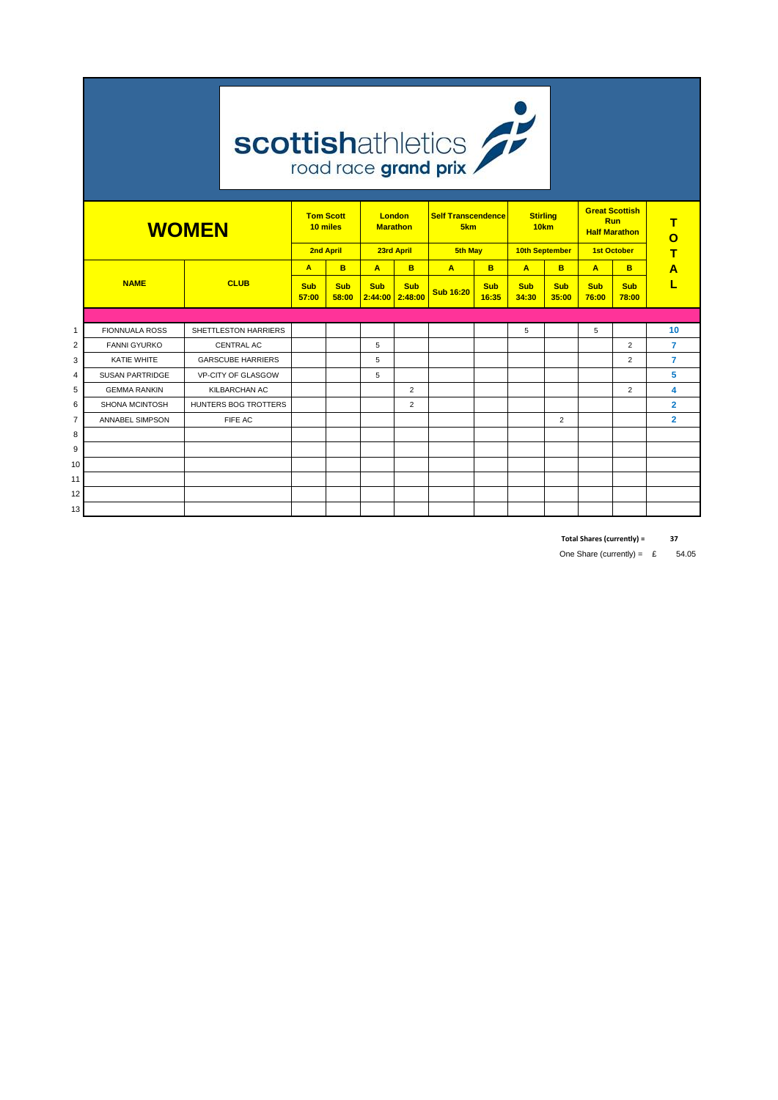|                | <b>scottishathletics</b> |                          |                                                                                             |                     |                                                    |                |                                           |                     |                                                                                   |                     |                        |                     |                |
|----------------|--------------------------|--------------------------|---------------------------------------------------------------------------------------------|---------------------|----------------------------------------------------|----------------|-------------------------------------------|---------------------|-----------------------------------------------------------------------------------|---------------------|------------------------|---------------------|----------------|
|                | <b>WOMEN</b>             |                          | <b>Tom Scott</b><br><b>London</b><br>10 miles<br><b>Marathon</b><br>2nd April<br>23rd April |                     | <b>Self Transcendence</b><br>5km<br><b>5th May</b> |                | <b>Stirling</b><br>10km<br>10th September |                     | <b>Great Scottish</b><br><b>Run</b><br><b>Half Marathon</b><br><b>1st October</b> |                     | т<br>$\mathbf{o}$<br>т |                     |                |
|                |                          |                          | A                                                                                           | B                   | A                                                  | B              | A                                         | B                   | A                                                                                 | B                   | A                      | B                   | Α              |
|                | <b>NAME</b>              | <b>CLUB</b>              | <b>Sub</b><br>57:00                                                                         | <b>Sub</b><br>58:00 | <b>Sub</b><br>$2:44:00$ 2:48:00                    | <b>Sub</b>     | <b>Sub 16:20</b>                          | <b>Sub</b><br>16:35 | <b>Sub</b><br>34:30                                                               | <b>Sub</b><br>35:00 | <b>Sub</b><br>76:00    | <b>Sub</b><br>78:00 |                |
|                |                          |                          |                                                                                             |                     |                                                    |                |                                           |                     |                                                                                   |                     |                        |                     |                |
| $\mathbf{1}$   | <b>FIONNUALA ROSS</b>    | SHETTLESTON HARRIERS     |                                                                                             |                     |                                                    |                |                                           |                     | 5                                                                                 |                     | 5                      |                     | 10             |
| $\overline{2}$ | <b>FANNI GYURKO</b>      | <b>CENTRAL AC</b>        |                                                                                             |                     | 5                                                  |                |                                           |                     |                                                                                   |                     |                        | $\overline{2}$      | $\overline{7}$ |
| 3              | <b>KATIE WHITE</b>       | <b>GARSCUBE HARRIERS</b> |                                                                                             |                     | 5                                                  |                |                                           |                     |                                                                                   |                     |                        | $\overline{2}$      | $\overline{7}$ |
| 4              | <b>SUSAN PARTRIDGE</b>   | VP-CITY OF GLASGOW       |                                                                                             |                     | 5                                                  |                |                                           |                     |                                                                                   |                     |                        |                     | 5              |
| 5              | <b>GEMMA RANKIN</b>      | <b>KILBARCHAN AC</b>     |                                                                                             |                     |                                                    | $\overline{2}$ |                                           |                     |                                                                                   |                     |                        | $\overline{2}$      | 4              |
| 6              | <b>SHONA MCINTOSH</b>    | HUNTERS BOG TROTTERS     |                                                                                             |                     |                                                    | $\overline{2}$ |                                           |                     |                                                                                   |                     |                        |                     | $\overline{2}$ |
| $\overline{7}$ | ANNABEL SIMPSON          | FIFE AC                  |                                                                                             |                     |                                                    |                |                                           |                     |                                                                                   | 2                   |                        |                     | $\overline{2}$ |
| 8              |                          |                          |                                                                                             |                     |                                                    |                |                                           |                     |                                                                                   |                     |                        |                     |                |
| 9              |                          |                          |                                                                                             |                     |                                                    |                |                                           |                     |                                                                                   |                     |                        |                     |                |
| 10             |                          |                          |                                                                                             |                     |                                                    |                |                                           |                     |                                                                                   |                     |                        |                     |                |
| 11             |                          |                          |                                                                                             |                     |                                                    |                |                                           |                     |                                                                                   |                     |                        |                     |                |
| 12             |                          |                          |                                                                                             |                     |                                                    |                |                                           |                     |                                                                                   |                     |                        |                     |                |
| 13             |                          |                          |                                                                                             |                     |                                                    |                |                                           |                     |                                                                                   |                     |                        |                     |                |

the control of the control of the control of the control of

**Total Shares (currently) = 37**

One Share (currently) =  $\epsilon$  54.05

and the state of the state of the state of the